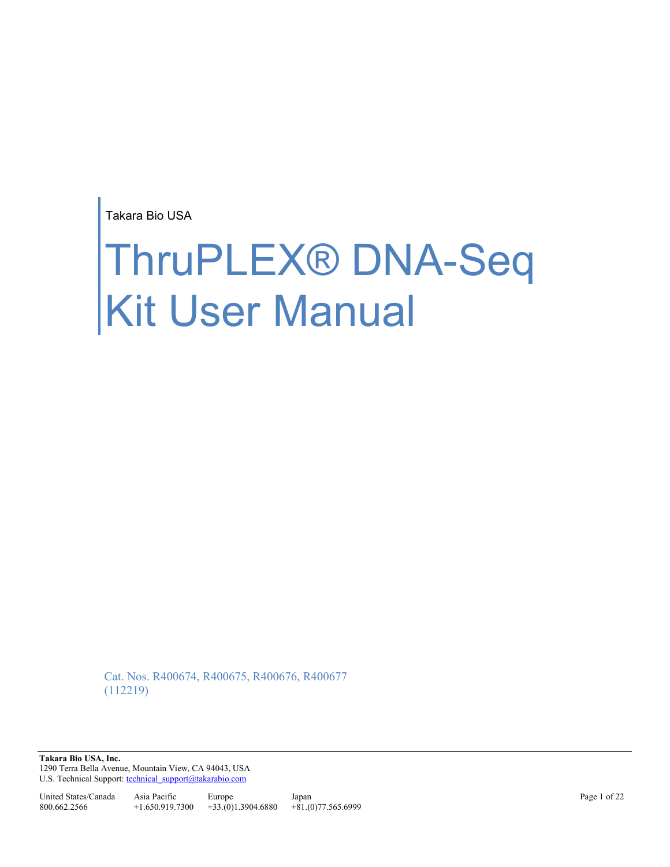Takara Bio USA

# ThruPLEX® DNA-Seq Kit User Manual

Cat. Nos. R400674, R400675, R400676, R400677 (112219)

**Takara Bio USA, Inc.**  1290 Terra Bella Avenue, Mountain View, CA 94043, USA U.S. Technical Support[: technical\\_support@takarabio.com](mailto:technical_support@takarabio.com)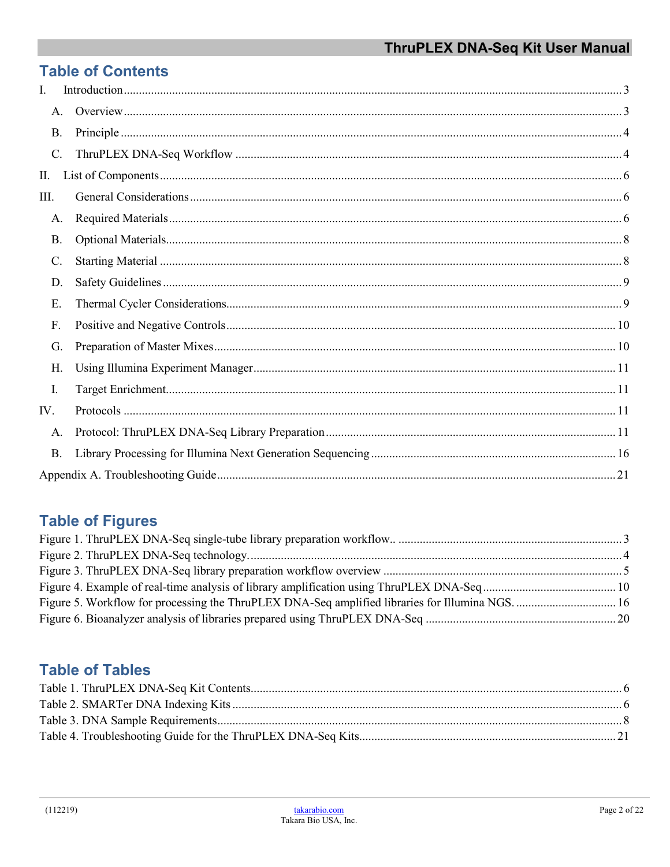# **Table of Contents**

| L.   |  |
|------|--|
| A.   |  |
| B.   |  |
| C.   |  |
| П.   |  |
| III. |  |
| Α.   |  |
| В.   |  |
| C.   |  |
| D.   |  |
| Ε.   |  |
| F.   |  |
| G.   |  |
| Н.   |  |
| Ι.   |  |
| IV.  |  |
| А.   |  |
| В.   |  |
|      |  |

# **Table of Figures**

# **Table of Tables**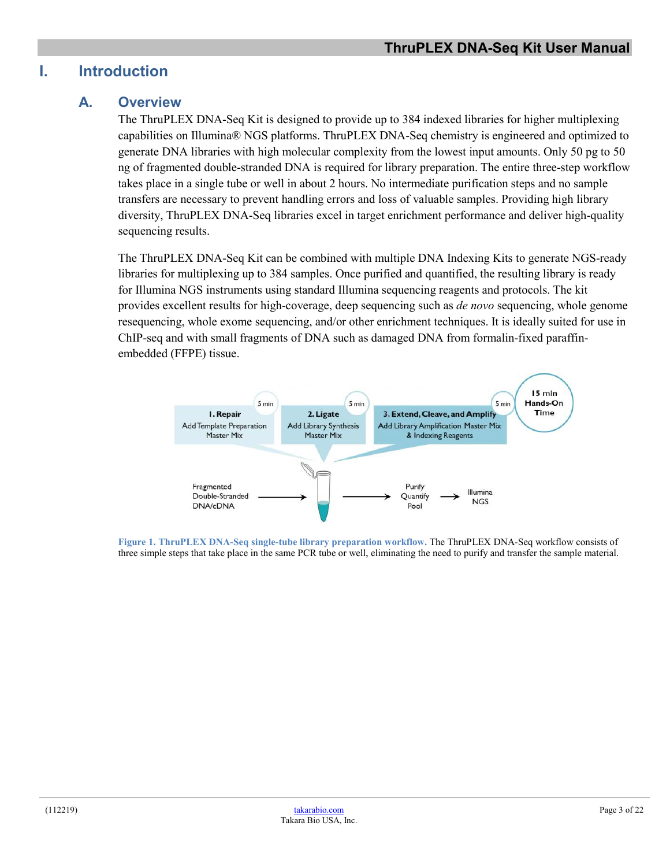# <span id="page-2-1"></span><span id="page-2-0"></span>**I. Introduction**

# **A. Overview**

The ThruPLEX DNA-Seq Kit is designed to provide up to 384 indexed libraries for higher multiplexing capabilities on Illumina® NGS platforms. ThruPLEX DNA-Seq chemistry is engineered and optimized to generate DNA libraries with high molecular complexity from the lowest input amounts. Only 50 pg to 50 ng of fragmented double-stranded DNA is required for library preparation. The entire three-step workflow takes place in a single tube or well in about 2 hours. No intermediate purification steps and no sample transfers are necessary to prevent handling errors and loss of valuable samples. Providing high library diversity, ThruPLEX DNA-Seq libraries excel in target enrichment performance and deliver high-quality sequencing results.

The ThruPLEX DNA-Seq Kit can be combined with multiple DNA Indexing Kits to generate NGS-ready libraries for multiplexing up to 384 samples. Once purified and quantified, the resulting library is ready for Illumina NGS instruments using standard Illumina sequencing reagents and protocols. The kit provides excellent results for high-coverage, deep sequencing such as *de novo* sequencing, whole genome resequencing, whole exome sequencing, and/or other enrichment techniques. It is ideally suited for use in ChIP-seq and with small fragments of DNA such as damaged DNA from formalin-fixed paraffinembedded (FFPE) tissue.



<span id="page-2-2"></span>**Figure 1. ThruPLEX DNA-Seq single-tube library preparation workflow.** The ThruPLEX DNA-Seq workflow consists of three simple steps that take place in the same PCR tube or well, eliminating the need to purify and transfer the sample material.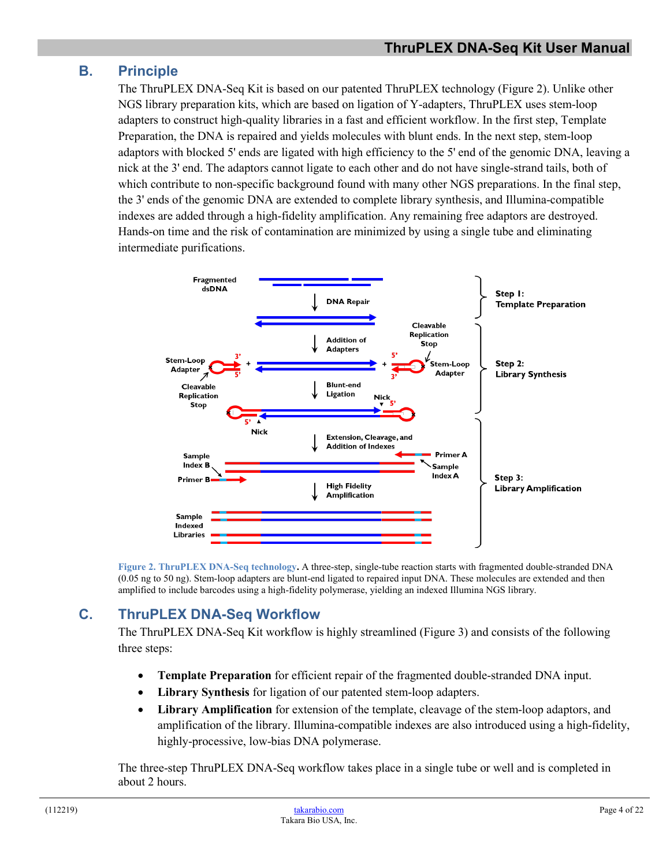# <span id="page-3-0"></span>**B. Principle**

The ThruPLEX DNA-Seq Kit is based on our patented ThruPLEX technology (Figure 2). Unlike other NGS library preparation kits, which are based on ligation of Y-adapters, ThruPLEX uses stem-loop adapters to construct high-quality libraries in a fast and efficient workflow. In the first step, Template Preparation, the DNA is repaired and yields molecules with blunt ends. In the next step, stem-loop adaptors with blocked 5' ends are ligated with high efficiency to the 5' end of the genomic DNA, leaving a nick at the 3' end. The adaptors cannot ligate to each other and do not have single-strand tails, both of which contribute to non-specific background found with many other NGS preparations. In the final step, the 3' ends of the genomic DNA are extended to complete library synthesis, and Illumina-compatible indexes are added through a high-fidelity amplification. Any remaining free adaptors are destroyed. Hands-on time and the risk of contamination are minimized by using a single tube and eliminating intermediate purifications.



**Figure 2. ThruPLEX DNA-Seq technology.** A three-step, single-tube reaction starts with fragmented double-stranded DNA (0.05 ng to 50 ng). Stem-loop adapters are blunt-end ligated to repaired input DNA. These molecules are extended and then amplified to include barcodes using a high-fidelity polymerase, yielding an indexed Illumina NGS library.

# <span id="page-3-2"></span><span id="page-3-1"></span>**C. ThruPLEX DNA-Seq Workflow**

The ThruPLEX DNA-Seq Kit workflow is highly streamlined (Figure 3) and consists of the following three steps:

- **Template Preparation** for efficient repair of the fragmented double-stranded DNA input.
- **Library Synthesis** for ligation of our patented stem-loop adapters.
- **Library Amplification** for extension of the template, cleavage of the stem-loop adaptors, and amplification of the library. Illumina-compatible indexes are also introduced using a high-fidelity, highly-processive, low-bias DNA polymerase.

The three-step ThruPLEX DNA-Seq workflow takes place in a single tube or well and is completed in about 2 hours.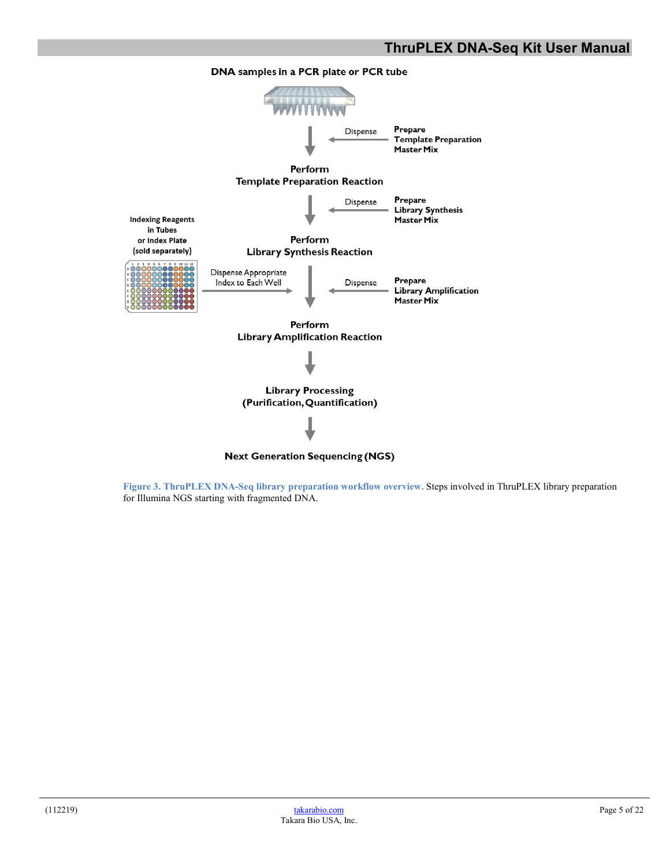

<span id="page-4-0"></span>**Figure 3. ThruPLEX DNA-Seq library preparation workflow overview.** Steps involved in ThruPLEX library preparation for Illumina NGS starting with fragmented DNA.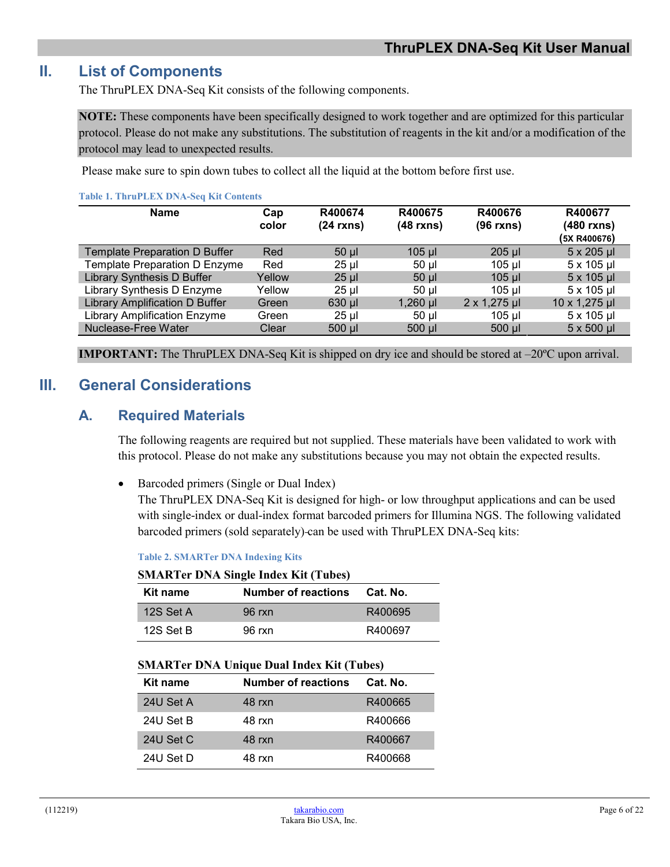# <span id="page-5-0"></span>**II. List of Components**

The ThruPLEX DNA-Seq Kit consists of the following components.

**NOTE:** These components have been specifically designed to work together and are optimized for this particular protocol. Please do not make any substitutions. The substitution of reagents in the kit and/or a modification of the protocol may lead to unexpected results.

Please make sure to spin down tubes to collect all the liquid at the bottom before first use.

<span id="page-5-3"></span>

| <b>Table 1. ThruPLEX DNA-Seq Kit Contents</b> |              |                       |                        |                        |                                       |
|-----------------------------------------------|--------------|-----------------------|------------------------|------------------------|---------------------------------------|
| <b>Name</b>                                   | Cap<br>color | R400674<br>(24 rxns)  | R400675<br>$(48$ rxns) | R400676<br>$(96$ rxns) | R400677<br>(480 rxns)<br>(5X R400676) |
| <b>Template Preparation D Buffer</b>          | Red          | $50$ $\mu$            | $105$ $\mu$            | $205$ $\mu$            | 5 x 205 µl                            |
| Template Preparation D Enzyme                 | Red          | $25$ µl               | $50$ µl                | $105$ µl               | 5 x 105 µl                            |
| <b>Library Synthesis D Buffer</b>             | Yellow       | $25$ $\mu$            | $50$ $\mu$             | $105$ µl               | $5 \times 105$ µl                     |
| Library Synthesis D Enzyme                    | Yellow       | $25$ µ $\overline{ }$ | $50$ $\mu$             | 105 ul                 | 5 x 105 µl                            |
| <b>Library Amplification D Buffer</b>         | Green        | 630 ul                | $1,260$ µl             | $2 \times 1,275 \,\mu$ | 10 x 1,275 µl                         |
| <b>Library Amplification Enzyme</b>           | Green        | $25$ µ                | $50$ $\mu$             | 105 ul                 | 5 x 105 µl                            |
| Nuclease-Free Water                           | Clear        | $500$ $\mu$           | $500$ $\mu$            | $500$ $\mu$            | $5 \times 500$ µl                     |

**IMPORTANT:** The ThruPLEX DNA-Seq Kit is shipped on dry ice and should be stored at –20ºC upon arrival.

# <span id="page-5-2"></span><span id="page-5-1"></span>**III. General Considerations**

## **A. Required Materials**

The following reagents are required but not supplied. These materials have been validated to work with this protocol. Please do not make any substitutions because you may not obtain the expected results.

• Barcoded primers (Single or Dual Index)

The ThruPLEX DNA-Seq Kit is designed for high- or low throughput applications and can be used with single-index or dual-index format barcoded primers for Illumina NGS. The following validated barcoded primers (sold separately) can be used with ThruPLEX DNA-Seq kits:

<span id="page-5-4"></span>**Table 2. SMARTer DNA Indexing Kits**

#### **SMARTer DNA Single Index Kit (Tubes)**

| Kit name    | <b>Number of reactions</b> | Cat. No. |
|-------------|----------------------------|----------|
| 12S Set A   | $96$ rxn                   | R400695  |
| 12S Set $B$ | 96 rxn                     | R400697  |

| Kit name  | <b>Number of reactions</b> | Cat. No. |
|-----------|----------------------------|----------|
| 24U Set A | 48 rxn                     | R400665  |
| 24U Set B | 48 rxn                     | R400666  |
| 24U Set C | 48 rxn                     | R400667  |
| 24U Set D | 48 rxn                     | R400668  |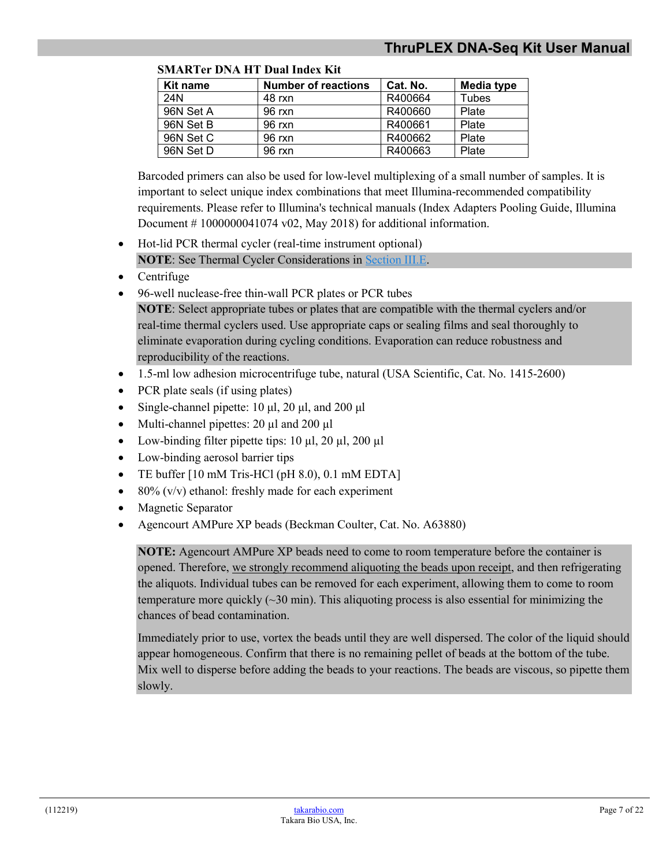| Kit name  | <b>Number of reactions</b> | Cat. No. | Media type |
|-----------|----------------------------|----------|------------|
| 24N       | 48 rxn                     | R400664  | Tubes      |
| 96N Set A | 96 rxn                     | R400660  | Plate      |
| 96N Set B | 96 rxn                     | R400661  | Plate      |
| 96N Set C | 96 rxn                     | R400662  | Plate      |
| 96N Set D | 96 rxn                     | R400663  | Plate      |

**SMARTer DNA HT Dual Index Kit**

Barcoded primers can also be used for low-level multiplexing of a small number of samples. It is important to select unique index combinations that meet Illumina-recommended compatibility requirements. Please refer to Illumina's technical manuals (Index Adapters Pooling Guide, Illumina Document  $# 1000000041074 v02$ , May 2018) for additional information.

- Hot-lid PCR thermal cycler (real-time instrument optional) **NOTE**: See Thermal Cycler Considerations i[n Section](#page-8-1) III.E.
- Centrifuge
- 96-well nuclease-free thin-wall PCR plates or PCR tubes
	- **NOTE**: Select appropriate tubes or plates that are compatible with the thermal cyclers and/or real-time thermal cyclers used. Use appropriate caps or sealing films and seal thoroughly to eliminate evaporation during cycling conditions. Evaporation can reduce robustness and reproducibility of the reactions.
- 1.5-ml low adhesion microcentrifuge tube, natural (USA Scientific, Cat. No. 1415-2600)
- PCR plate seals (if using plates)
- Single-channel pipette:  $10 \mu l$ ,  $20 \mu l$ , and  $200 \mu l$
- Multi-channel pipettes: 20 µl and 200 µl
- Low-binding filter pipette tips:  $10 \mu l$ ,  $20 \mu l$ ,  $200 \mu l$
- Low-binding aerosol barrier tips
- TE buffer [10 mM Tris-HCl (pH 8.0), 0.1 mM EDTA]
- 80%  $(v/v)$  ethanol: freshly made for each experiment
- Magnetic Separator
- Agencourt AMPure XP beads (Beckman Coulter, Cat. No. A63880)

**NOTE:** Agencourt AMPure XP beads need to come to room temperature before the container is opened. Therefore, we strongly recommend aliquoting the beads upon receipt, and then refrigerating the aliquots. Individual tubes can be removed for each experiment, allowing them to come to room temperature more quickly  $(\sim]30 \text{ min}$ . This aliquoting process is also essential for minimizing the chances of bead contamination.

Immediately prior to use, vortex the beads until they are well dispersed. The color of the liquid should appear homogeneous. Confirm that there is no remaining pellet of beads at the bottom of the tube. Mix well to disperse before adding the beads to your reactions. The beads are viscous, so pipette them slowly.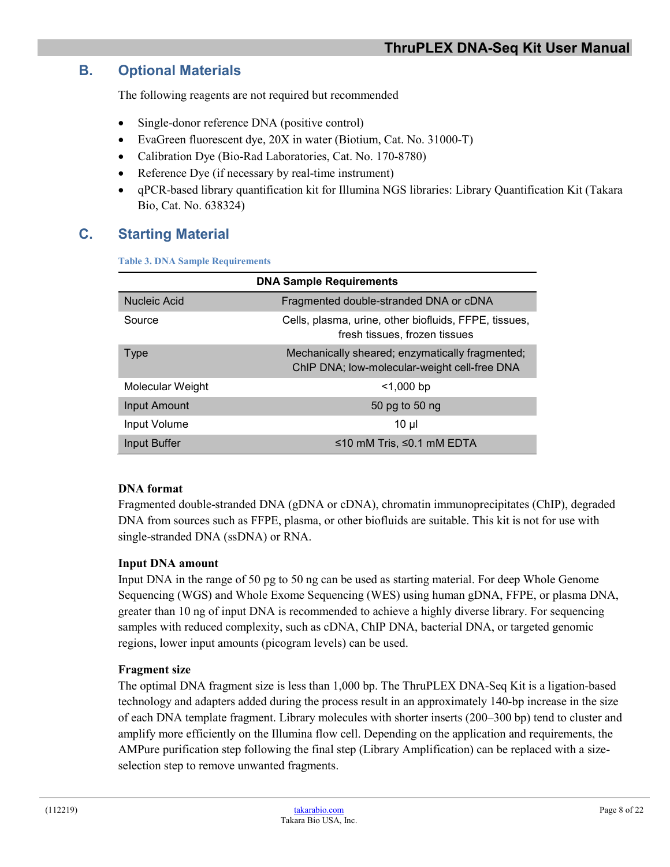# <span id="page-7-0"></span>**B. Optional Materials**

The following reagents are not required but recommended

- Single-donor reference DNA (positive control)
- EvaGreen fluorescent dye, 20X in water (Biotium, Cat. No. 31000-T)
- Calibration Dye (Bio-Rad Laboratories, Cat. No. 170-8780)
- Reference Dye (if necessary by real-time instrument)
- qPCR-based library quantification kit for Illumina NGS libraries: Library Quantification Kit (Takara Bio, Cat. No. 638324)

# <span id="page-7-2"></span><span id="page-7-1"></span>**C. Starting Material**

**Table 3. DNA Sample Requirements**

| <b>DNA Sample Requirements</b> |                                                                                                 |  |  |
|--------------------------------|-------------------------------------------------------------------------------------------------|--|--|
| Nucleic Acid                   | Fragmented double-stranded DNA or cDNA                                                          |  |  |
| Source                         | Cells, plasma, urine, other biofluids, FFPE, tissues,<br>fresh tissues, frozen tissues          |  |  |
| <b>Type</b>                    | Mechanically sheared; enzymatically fragmented;<br>ChIP DNA; low-molecular-weight cell-free DNA |  |  |
| Molecular Weight               | $<$ 1,000 bp                                                                                    |  |  |
| <b>Input Amount</b>            | 50 pg to 50 ng                                                                                  |  |  |
| Input Volume                   | $10 \mu$                                                                                        |  |  |
| Input Buffer                   | ≤10 mM Tris, ≤0.1 mM EDTA                                                                       |  |  |

#### **DNA format**

Fragmented double-stranded DNA (gDNA or cDNA), chromatin immunoprecipitates (ChIP), degraded DNA from sources such as FFPE, plasma, or other biofluids are suitable. This kit is not for use with single-stranded DNA (ssDNA) or RNA.

#### **Input DNA amount**

Input DNA in the range of 50 pg to 50 ng can be used as starting material. For deep Whole Genome Sequencing (WGS) and Whole Exome Sequencing (WES) using human gDNA, FFPE, or plasma DNA, greater than 10 ng of input DNA is recommended to achieve a highly diverse library. For sequencing samples with reduced complexity, such as cDNA, ChIP DNA, bacterial DNA, or targeted genomic regions, lower input amounts (picogram levels) can be used.

#### **Fragment size**

The optimal DNA fragment size is less than 1,000 bp. The ThruPLEX DNA-Seq Kit is a ligation-based technology and adapters added during the process result in an approximately 140-bp increase in the size of each DNA template fragment. Library molecules with shorter inserts (200–300 bp) tend to cluster and amplify more efficiently on the Illumina flow cell. Depending on the application and requirements, the AMPure purification step following the final step (Library Amplification) can be replaced with a sizeselection step to remove unwanted fragments.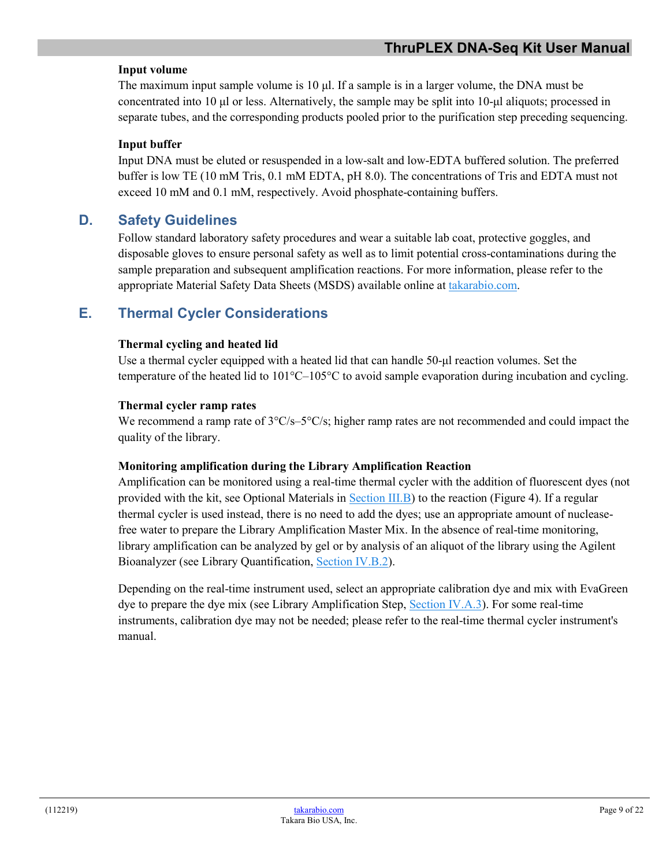#### **Input volume**

The maximum input sample volume is 10 μl. If a sample is in a larger volume, the DNA must be concentrated into 10 μl or less. Alternatively, the sample may be split into 10-μl aliquots; processed in separate tubes, and the corresponding products pooled prior to the purification step preceding sequencing.

#### **Input buffer**

Input DNA must be eluted or resuspended in a low-salt and low-EDTA buffered solution. The preferred buffer is low TE (10 mM Tris, 0.1 mM EDTA, pH 8.0). The concentrations of Tris and EDTA must not exceed 10 mM and 0.1 mM, respectively. Avoid phosphate-containing buffers.

# <span id="page-8-0"></span>**D. Safety Guidelines**

Follow standard laboratory safety procedures and wear a suitable lab coat, protective goggles, and disposable gloves to ensure personal safety as well as to limit potential cross-contaminations during the sample preparation and subsequent amplification reactions. For more information, please refer to the appropriate Material Safety Data Sheets (MSDS) available online at [takarabio.com.](http://www.takarabio.com/)

# <span id="page-8-1"></span>**E. Thermal Cycler Considerations**

#### **Thermal cycling and heated lid**

Use a thermal cycler equipped with a heated lid that can handle 50-µl reaction volumes. Set the temperature of the heated lid to  $101^{\circ}$ C– $105^{\circ}$ C to avoid sample evaporation during incubation and cycling.

#### **Thermal cycler ramp rates**

We recommend a ramp rate of  $3^{\circ}$ C/s– $5^{\circ}$ C/s; higher ramp rates are not recommended and could impact the quality of the library.

#### **Monitoring amplification during the Library Amplification Reaction**

Amplification can be monitored using a real-time thermal cycler with the addition of fluorescent dyes (not provided with the kit, see Optional Materials in [Section](#page-7-0) III.B) to the reaction (Figure 4). If a regular thermal cycler is used instead, there is no need to add the dyes; use an appropriate amount of nucleasefree water to prepare the Library Amplification Master Mix. In the absence of real-time monitoring, library amplification can be analyzed by gel or by analysis of an aliquot of the library using the Agilent Bioanalyzer (see Library Quantification, [Section](#page-15-2) IV.B.2).

Depending on the real-time instrument used, select an appropriate calibration dye and mix with EvaGreen dye to prepare the dye mix (see Library Amplification Step, [Section](#page-12-0) IV.A.3). For some real-time instruments, calibration dye may not be needed; please refer to the real-time thermal cycler instrument's manual.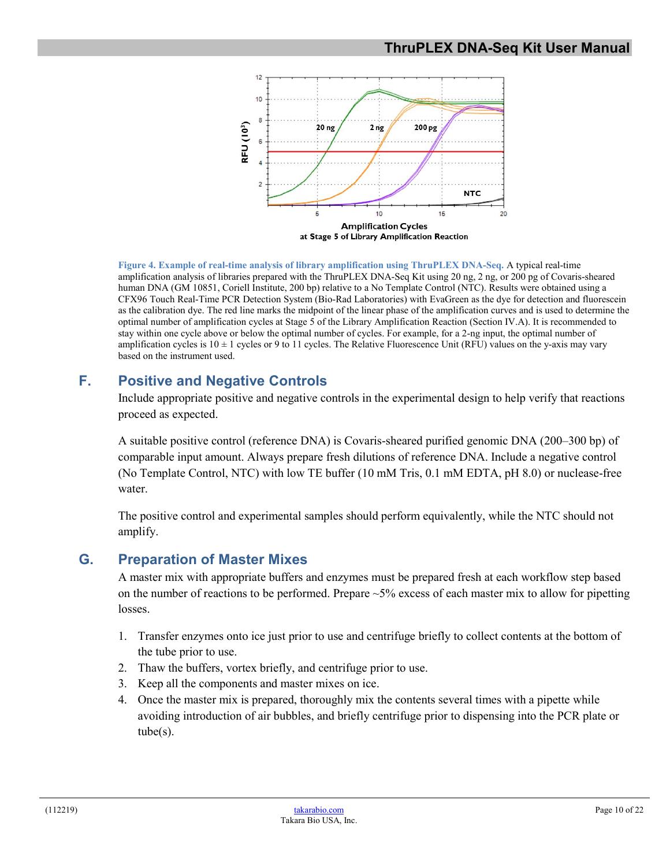# **ThruPLEX DNA-Seq Kit User Manual**



<span id="page-9-2"></span>**Figure 4. Example of real-time analysis of library amplification using ThruPLEX DNA-Seq.** A typical real-time amplification analysis of libraries prepared with the ThruPLEX DNA-Seq Kit using 20 ng, 2 ng, or 200 pg of Covaris-sheared human DNA (GM 10851, Coriell Institute, 200 bp) relative to a No Template Control (NTC). Results were obtained using a CFX96 Touch Real-Time PCR Detection System (Bio-Rad Laboratories) with EvaGreen as the dye for detection and fluorescein as the calibration dye. The red line marks the midpoint of the linear phase of the amplification curves and is used to determine the optimal number of amplification cycles at Stage 5 of the Library Amplification Reaction (Section IV.A). It is recommended to stay within one cycle above or below the optimal number of cycles. For example, for a 2-ng input, the optimal number of amplification cycles is  $10 \pm 1$  cycles or 9 to 11 cycles. The Relative Fluorescence Unit (RFU) values on the y-axis may vary based on the instrument used.

# <span id="page-9-0"></span>**F. Positive and Negative Controls**

Include appropriate positive and negative controls in the experimental design to help verify that reactions proceed as expected.

A suitable positive control (reference DNA) is Covaris-sheared purified genomic DNA (200–300 bp) of comparable input amount. Always prepare fresh dilutions of reference DNA. Include a negative control (No Template Control, NTC) with low TE buffer (10 mM Tris, 0.1 mM EDTA, pH 8.0) or nuclease-free water.

The positive control and experimental samples should perform equivalently, while the NTC should not amplify.

# <span id="page-9-1"></span>**G. Preparation of Master Mixes**

A master mix with appropriate buffers and enzymes must be prepared fresh at each workflow step based on the number of reactions to be performed. Prepare  $\sim$  5% excess of each master mix to allow for pipetting losses.

- 1. Transfer enzymes onto ice just prior to use and centrifuge briefly to collect contents at the bottom of the tube prior to use.
- 2. Thaw the buffers, vortex briefly, and centrifuge prior to use.
- 3. Keep all the components and master mixes on ice.
- 4. Once the master mix is prepared, thoroughly mix the contents several times with a pipette while avoiding introduction of air bubbles, and briefly centrifuge prior to dispensing into the PCR plate or tube(s).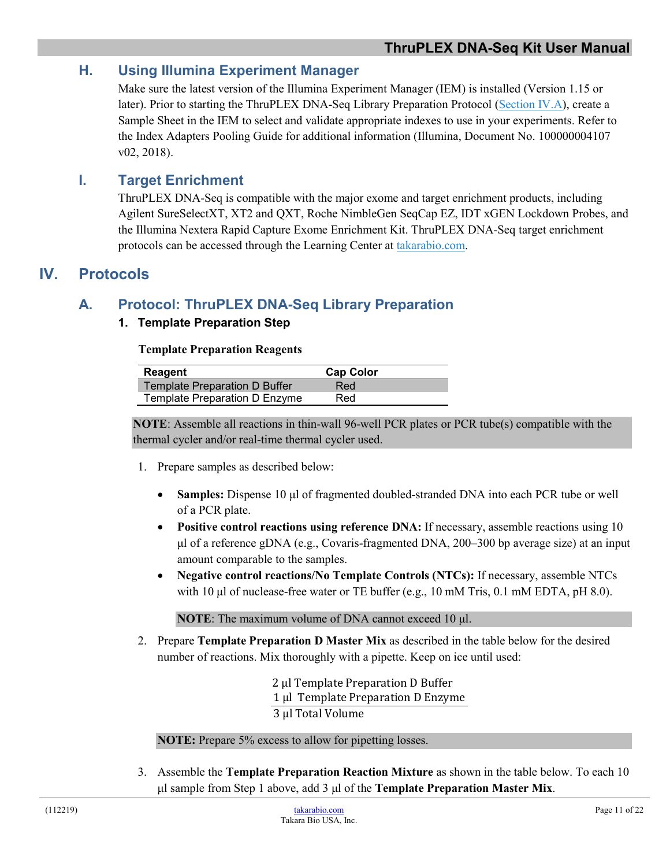# <span id="page-10-0"></span>**H. Using Illumina Experiment Manager**

Make sure the latest version of the Illumina Experiment Manager (IEM) is installed (Version 1.15 or later). Prior to starting the ThruPLEX DNA-Seq Library Preparation Protocol [\(Section](#page-10-3) IV.A), create a Sample Sheet in the IEM to select and validate appropriate indexes to use in your experiments. Refer to the Index Adapters Pooling Guide for additional information (Illumina, Document No. 100000004107 v02, 2018).

# <span id="page-10-1"></span>**I. Target Enrichment**

ThruPLEX DNA-Seq is compatible with the major exome and target enrichment products, including Agilent SureSelectXT, XT2 and QXT, Roche NimbleGen SeqCap EZ, IDT xGEN Lockdown Probes, and the Illumina Nextera Rapid Capture Exome Enrichment Kit. ThruPLEX DNA-Seq target enrichment protocols can be accessed through the Learning Center at [takarabio.com.](https://www.takarabio.com/)

# <span id="page-10-3"></span><span id="page-10-2"></span>**IV. Protocols**

# **A. Protocol: ThruPLEX DNA-Seq Library Preparation**

#### **1. Template Preparation Step**

#### **Template Preparation Reagents**

| Reagent                              | <b>Cap Color</b> |  |
|--------------------------------------|------------------|--|
| <b>Template Preparation D Buffer</b> | Red              |  |
| Template Preparation D Enzyme        | Red              |  |

**NOTE**: Assemble all reactions in thin-wall 96-well PCR plates or PCR tube(s) compatible with the thermal cycler and/or real-time thermal cycler used.

- 1. Prepare samples as described below:
	- **Samples:** Dispense 10 µ of fragmented doubled-stranded DNA into each PCR tube or well of a PCR plate.
	- **Positive control reactions using reference DNA:** If necessary, assemble reactions using 10 μl of a reference gDNA (e.g., Covaris-fragmented DNA, 200–300 bp average size) at an input amount comparable to the samples.
	- **Negative control reactions/No Template Controls (NTCs):** If necessary, assemble NTCs with 10 μl of nuclease-free water or TE buffer (e.g., 10 mM Tris, 0.1 mM EDTA, pH 8.0).

**NOTE**: The maximum volume of DNA cannot exceed 10 μl.

2. Prepare **Template Preparation D Master Mix** as described in the table below for the desired number of reactions. Mix thoroughly with a pipette. Keep on ice until used:

> 2 µl Template Preparation D Buffer 1 µl Template Preparation D Enzyme 3 µl Total Volume

**NOTE:** Prepare 5% excess to allow for pipetting losses.

3. Assemble the **Template Preparation Reaction Mixture** as shown in the table below. To each 10 μl sample from Step 1 above, add 3 μl of the **Template Preparation Master Mix**.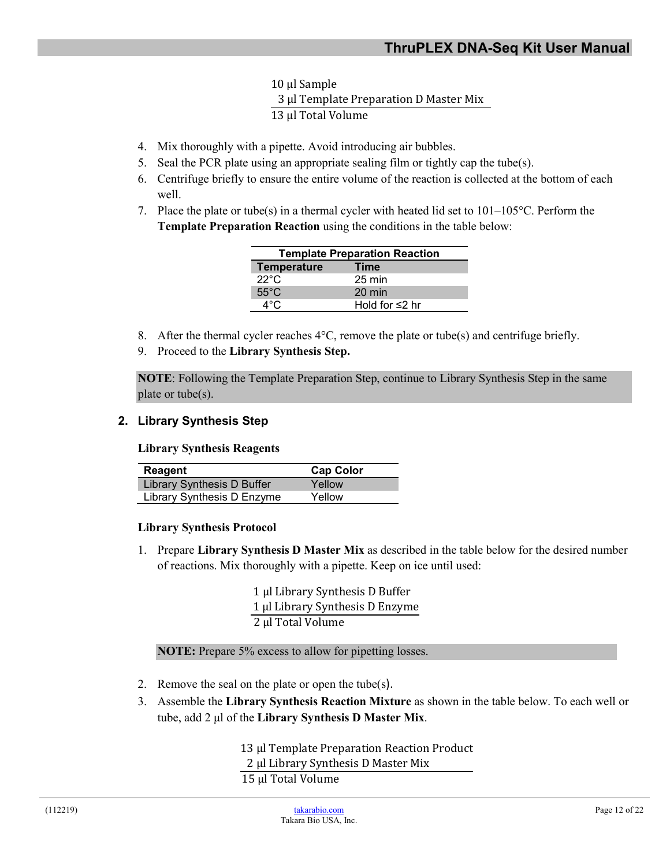10 µl Sample 3 µl Template Preparation D Master Mix 13 µl Total Volume

- 4. Mix thoroughly with a pipette. Avoid introducing air bubbles.
- 5. Seal the PCR plate using an appropriate sealing film or tightly cap the tube(s).
- 6. Centrifuge briefly to ensure the entire volume of the reaction is collected at the bottom of each well.
- 7. Place the plate or tube(s) in a thermal cycler with heated lid set to  $101-105^{\circ}$ C. Perform the **Template Preparation Reaction** using the conditions in the table below:

| <b>Template Preparation Reaction</b> |                      |  |
|--------------------------------------|----------------------|--|
| <b>Temperature</b>                   | Time                 |  |
| 22°C                                 | $25 \text{ min}$     |  |
| $55^{\circ}$ C                       | $20 \text{ min}$     |  |
| $\Delta^\circ$ C                     | Hold for $\leq$ 2 hr |  |

- 8. After the thermal cycler reaches  $4^{\circ}$ C, remove the plate or tube(s) and centrifuge briefly.
- 9. Proceed to the **Library Synthesis Step.**

**NOTE**: Following the Template Preparation Step, continue to Library Synthesis Step in the same plate or tube(s).

#### **2. Library Synthesis Step**

**Library Synthesis Reagents** 

| <b>Reagent</b>                    | <b>Cap Color</b> |
|-----------------------------------|------------------|
| <b>Library Synthesis D Buffer</b> | Yellow           |
| Library Synthesis D Enzyme        | Yellow           |

#### **Library Synthesis Protocol**

1. Prepare **Library Synthesis D Master Mix** as described in the table below for the desired number of reactions. Mix thoroughly with a pipette. Keep on ice until used:

> 1 µl Library Synthesis D Buffer 1 µl Library Synthesis D Enzyme 2 µl Total Volume

**NOTE:** Prepare 5% excess to allow for pipetting losses.

- 2. Remove the seal on the plate or open the tube(s).
- 3. Assemble the **Library Synthesis Reaction Mixture** as shown in the table below. To each well or tube, add 2 μl of the **Library Synthesis D Master Mix**.

13 µl Template Preparation Reaction Product 2 µl Library Synthesis D Master Mix 15 µl Total Volume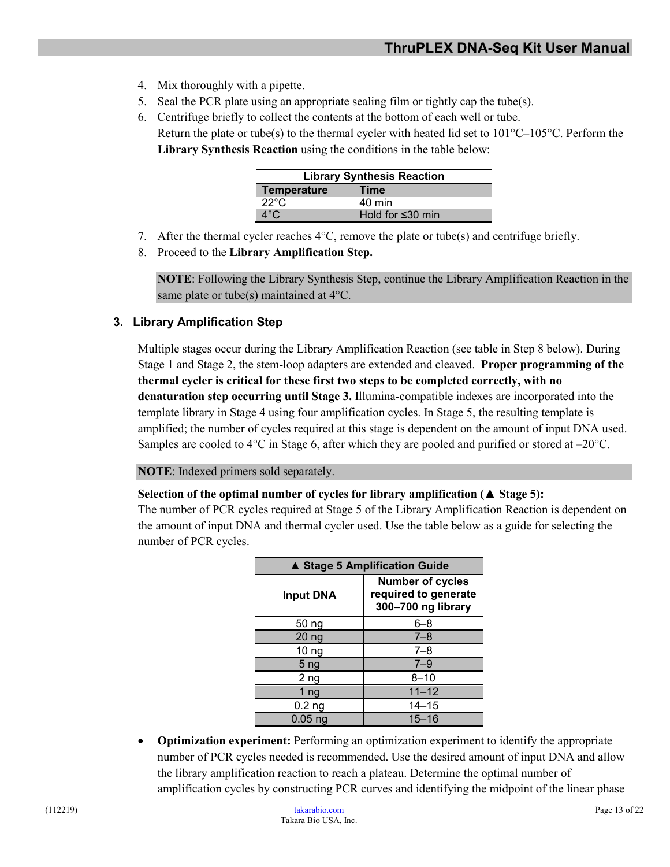- 4. Mix thoroughly with a pipette.
- 5. Seal the PCR plate using an appropriate sealing film or tightly cap the tube(s).
- 6. Centrifuge briefly to collect the contents at the bottom of each well or tube. Return the plate or tube(s) to the thermal cycler with heated lid set to  $101^{\circ}C-105^{\circ}C$ . Perform the **Library Synthesis Reaction** using the conditions in the table below:

| <b>Library Synthesis Reaction</b> |                        |  |
|-----------------------------------|------------------------|--|
| Temperature                       | Time                   |  |
| 22°C                              | $40 \text{ min}$       |  |
| $4^{\circ}$ C.                    | Hold for $\leq 30$ min |  |

- 7. After the thermal cycler reaches  $4^{\circ}$ C, remove the plate or tube(s) and centrifuge briefly.
- 8. Proceed to the **Library Amplification Step.**

**NOTE**: Following the Library Synthesis Step, continue the Library Amplification Reaction in the same plate or tube(s) maintained at 4°C.

#### <span id="page-12-0"></span>**3. Library Amplification Step**

Multiple stages occur during the Library Amplification Reaction (see table in Step 8 below). During Stage 1 and Stage 2, the stem-loop adapters are extended and cleaved. **Proper programming of the thermal cycler is critical for these first two steps to be completed correctly, with no denaturation step occurring until Stage 3.** Illumina-compatible indexes are incorporated into the template library in Stage 4 using four amplification cycles. In Stage 5, the resulting template is amplified; the number of cycles required at this stage is dependent on the amount of input DNA used. Samples are cooled to  $4^{\circ}$ C in Stage 6, after which they are pooled and purified or stored at  $-20^{\circ}$ C.

#### **NOTE**: Indexed primers sold separately.

#### **Selection of the optimal number of cycles for library amplification (▲ Stage 5):**

The number of PCR cycles required at Stage 5 of the Library Amplification Reaction is dependent on the amount of input DNA and thermal cycler used. Use the table below as a guide for selecting the number of PCR cycles.

| ▲ Stage 5 Amplification Guide |                                                                       |  |
|-------------------------------|-----------------------------------------------------------------------|--|
| <b>Input DNA</b>              | <b>Number of cycles</b><br>required to generate<br>300-700 ng library |  |
| 50 ng                         | $6 - 8$                                                               |  |
| 20 <sub>ng</sub>              | $7 - 8$                                                               |  |
| 10 <sub>ng</sub>              | $7 - 8$                                                               |  |
| 5 <sub>ng</sub>               | $7 - 9$                                                               |  |
| 2 ng                          | $8 - 10$                                                              |  |
| 1 $ng$                        | $11 - 12$                                                             |  |
| 0.2 <sub>ng</sub>             | $14 - 15$                                                             |  |
| $0.05$ ng                     | $15 - 16$                                                             |  |

• **Optimization experiment:** Performing an optimization experiment to identify the appropriate number of PCR cycles needed is recommended. Use the desired amount of input DNA and allow the library amplification reaction to reach a plateau. Determine the optimal number of amplification cycles by constructing PCR curves and identifying the midpoint of the linear phase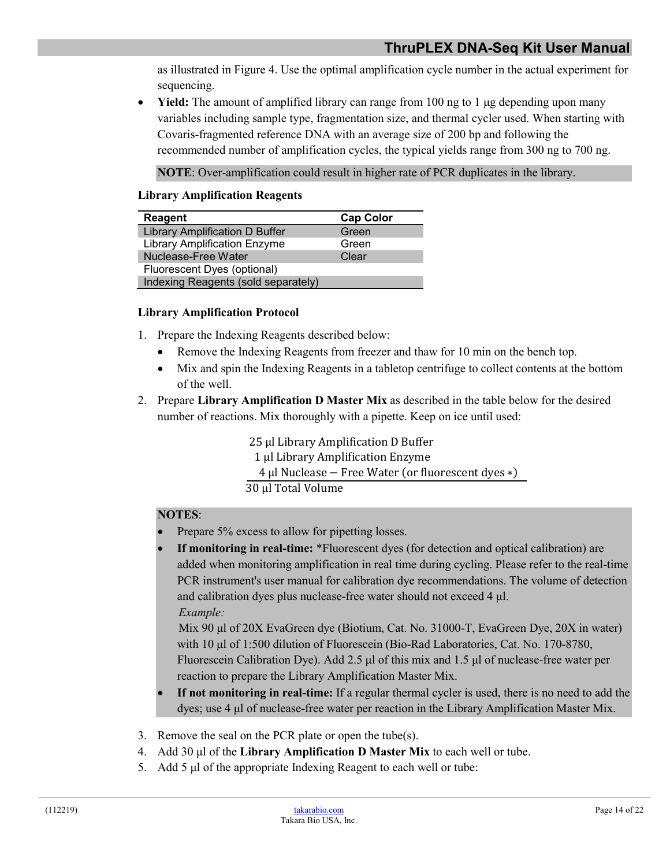as illustrated in Figure 4. Use the optimal amplification cycle number in the actual experiment for sequencing.

• **Yield:** The amount of amplified library can range from 100 ng to 1 μg depending upon many variables including sample type, fragmentation size, and thermal cycler used. When starting with Covaris-fragmented reference DNA with an average size of 200 bp and following the recommended number of amplification cycles, the typical yields range from 300 ng to 700 ng.

**NOTE**: Over-amplification could result in higher rate of PCR duplicates in the library.

#### **Library Amplification Reagents**

| Reagent                             | <b>Cap Color</b> |  |
|-------------------------------------|------------------|--|
| Library Amplification D Buffer      | Green            |  |
| <b>Library Amplification Enzyme</b> | Green            |  |
| Nuclease-Free Water                 | Clear            |  |
| Fluorescent Dyes (optional)         |                  |  |
| Indexing Reagents (sold separately) |                  |  |

#### **Library Amplification Protocol**

- 1. Prepare the Indexing Reagents described below:
	- Remove the Indexing Reagents from freezer and thaw for 10 min on the bench top.
	- Mix and spin the Indexing Reagents in a tabletop centrifuge to collect contents at the bottom of the well.
- 2. Prepare **Library Amplification D Master Mix** as described in the table below for the desired number of reactions. Mix thoroughly with a pipette. Keep on ice until used:

25 ul Library Amplification D Buffer µl Library Amplification Enzyme µl Nuclease − Free Water (or fluorescent dyes ∗) µl Total Volume

#### **NOTES**:

- Prepare 5% excess to allow for pipetting losses.
- **If monitoring in real-time:** \*Fluorescent dyes (for detection and optical calibration) are added when monitoring amplification in real time during cycling. Please refer to the real-time PCR instrument's user manual for calibration dye recommendations. The volume of detection and calibration dyes plus nuclease-free water should not exceed 4 μl. *Example:*

 Mix 90 μl of 20X EvaGreen dye (Biotium, Cat. No. 31000-T, EvaGreen Dye, 20X in water) with 10 μl of 1:500 dilution of Fluorescein (Bio-Rad Laboratories, Cat. No. 170-8780, Fluorescein Calibration Dye). Add 2.5 μl of this mix and 1.5 μl of nuclease-free water per reaction to prepare the Library Amplification Master Mix.

- **If not monitoring in real-time:** If a regular thermal cycler is used, there is no need to add the dyes; use 4 μl of nuclease-free water per reaction in the Library Amplification Master Mix.
- 3. Remove the seal on the PCR plate or open the tube(s).
- 4. Add 30 μl of the **Library Amplification D Master Mix** to each well or tube.
- 5. Add 5 μl of the appropriate Indexing Reagent to each well or tube: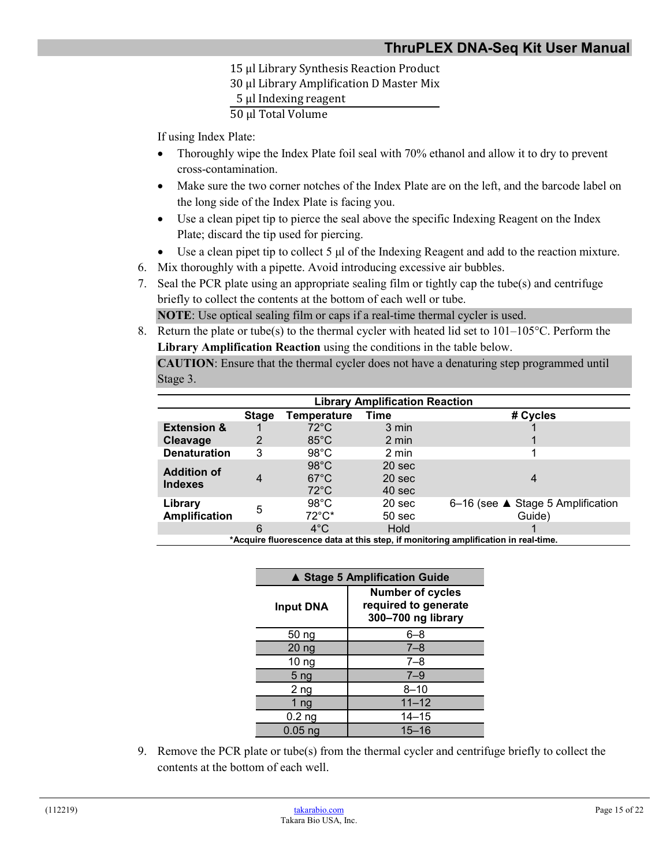µl Library Synthesis Reaction Product µl Library Amplification D Master Mix µl Indexing reagent µl Total Volume

If using Index Plate:

- Thoroughly wipe the Index Plate foil seal with 70% ethanol and allow it to dry to prevent cross-contamination.
- Make sure the two corner notches of the Index Plate are on the left, and the barcode label on the long side of the Index Plate is facing you.
- Use a clean pipet tip to pierce the seal above the specific Indexing Reagent on the Index Plate; discard the tip used for piercing.
- Use a clean pipet tip to collect 5 μl of the Indexing Reagent and add to the reaction mixture.
- 6. Mix thoroughly with a pipette. Avoid introducing excessive air bubbles.
- 7. Seal the PCR plate using an appropriate sealing film or tightly cap the tube(s) and centrifuge briefly to collect the contents at the bottom of each well or tube.

**NOTE**: Use optical sealing film or caps if a real-time thermal cycler is used.

8. Return the plate or tube(s) to the thermal cycler with heated lid set to  $101-105\textdegree C$ . Perform the **Library Amplification Reaction** using the conditions in the table below.

**CAUTION**: Ensure that the thermal cycler does not have a denaturing step programmed until Stage 3.

| <b>Library Amplification Reaction</b>                                              |              |                 |                   |                                   |
|------------------------------------------------------------------------------------|--------------|-----------------|-------------------|-----------------------------------|
|                                                                                    | <b>Stage</b> | Temperature     | Time              | # Cycles                          |
| <b>Extension &amp;</b>                                                             |              | $72^{\circ}$ C  | 3 min             |                                   |
| Cleavage                                                                           | 2            | $85^{\circ}$ C  | 2 min             |                                   |
| <b>Denaturation</b>                                                                | 3            | $98^{\circ}$ C  | 2 min             |                                   |
| <b>Addition of</b>                                                                 |              | $98^{\circ}$ C  | 20 <sub>sec</sub> |                                   |
| <b>Indexes</b>                                                                     | 4            | $67^{\circ}$ C  | 20 sec            |                                   |
|                                                                                    |              | $72^{\circ}$ C  | 40 sec            |                                   |
| Library                                                                            | 5            | $98^{\circ}$ C  | 20 <sub>sec</sub> | 6-16 (see ▲ Stage 5 Amplification |
| <b>Amplification</b>                                                               |              | $72^{\circ}$ C* | 50 <sub>sec</sub> | Guide)                            |
|                                                                                    | 6            | $4^{\circ}$ C   | <b>Hold</b>       |                                   |
| *Acquire fluorescence data at this step, if monitoring amplification in real-time. |              |                 |                   |                                   |

| ▲ Stage 5 Amplification Guide |                                                                       |  |
|-------------------------------|-----------------------------------------------------------------------|--|
| <b>Input DNA</b>              | <b>Number of cycles</b><br>required to generate<br>300-700 ng library |  |
| 50 ng                         | $6 - 8$                                                               |  |
| 20 <sub>ng</sub>              | $7 - 8$                                                               |  |
| 10 <sub>ng</sub>              | $7 - 8$                                                               |  |
| 5 <sub>ng</sub>               | $7 - 9$                                                               |  |
| 2 ng                          | $8 - 10$                                                              |  |
| 1 ng                          | $11 - 12$                                                             |  |
| $0.2$ ng                      | $14 - 15$                                                             |  |
| $0.05$ ng                     | $15 - 16$                                                             |  |

9. Remove the PCR plate or tube(s) from the thermal cycler and centrifuge briefly to collect the contents at the bottom of each well.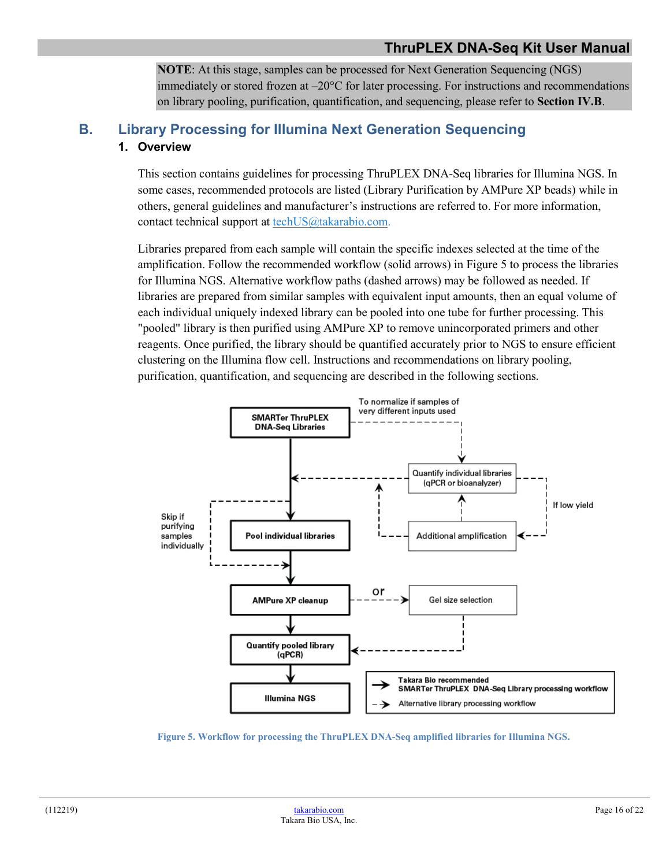**NOTE**: At this stage, samples can be processed for Next Generation Sequencing (NGS) immediately or stored frozen at –20°C for later processing. For instructions and recommendations on library pooling, purification, quantification, and sequencing, please refer to **Section IV.B**.

# <span id="page-15-0"></span>**B. Library Processing for Illumina Next Generation Sequencing 1. Overview**

This section contains guidelines for processing ThruPLEX DNA-Seq libraries for Illumina NGS. In some cases, recommended protocols are listed (Library Purification by AMPure XP beads) while in others, general guidelines and manufacturer's instructions are referred to. For more information, contact technical support at [techUS@takarabio.com.](mailto:techUS@takarabio.com)

Libraries prepared from each sample will contain the specific indexes selected at the time of the amplification. Follow the recommended workflow (solid arrows) in Figure 5 to process the libraries for Illumina NGS. Alternative workflow paths (dashed arrows) may be followed as needed. If libraries are prepared from similar samples with equivalent input amounts, then an equal volume of each individual uniquely indexed library can be pooled into one tube for further processing. This "pooled" library is then purified using AMPure XP to remove unincorporated primers and other reagents. Once purified, the library should be quantified accurately prior to NGS to ensure efficient clustering on the Illumina flow cell. Instructions and recommendations on library pooling, purification, quantification, and sequencing are described in the following sections.



<span id="page-15-2"></span><span id="page-15-1"></span>**Figure 5. Workflow for processing the ThruPLEX DNA-Seq amplified libraries for Illumina NGS.**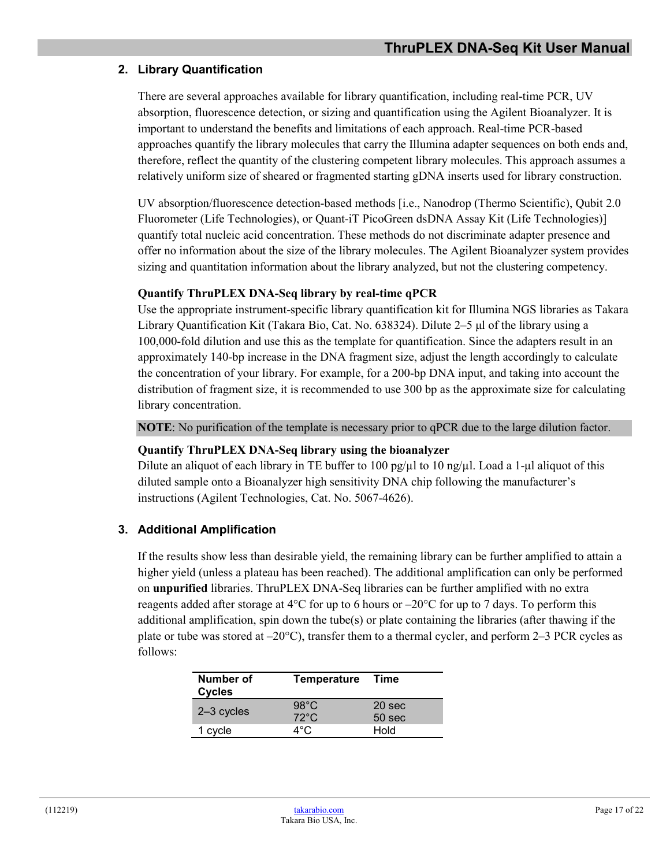## **2. Library Quantification**

There are several approaches available for library quantification, including real-time PCR, UV absorption, fluorescence detection, or sizing and quantification using the Agilent Bioanalyzer. It is important to understand the benefits and limitations of each approach. Real-time PCR-based approaches quantify the library molecules that carry the Illumina adapter sequences on both ends and, therefore, reflect the quantity of the clustering competent library molecules. This approach assumes a relatively uniform size of sheared or fragmented starting gDNA inserts used for library construction.

UV absorption/fluorescence detection-based methods [i.e., Nanodrop (Thermo Scientific), Qubit 2.0 Fluorometer (Life Technologies), or Quant-iT PicoGreen dsDNA Assay Kit (Life Technologies)] quantify total nucleic acid concentration. These methods do not discriminate adapter presence and offer no information about the size of the library molecules. The Agilent Bioanalyzer system provides sizing and quantitation information about the library analyzed, but not the clustering competency.

#### **Quantify ThruPLEX DNA-Seq library by real-time qPCR**

Use the appropriate instrument-specific library quantification kit for Illumina NGS libraries as Takara Library Quantification Kit (Takara Bio, Cat. No. 638324). Dilute 2–5 μl of the library using a 100,000-fold dilution and use this as the template for quantification. Since the adapters result in an approximately 140-bp increase in the DNA fragment size, adjust the length accordingly to calculate the concentration of your library. For example, for a 200-bp DNA input, and taking into account the distribution of fragment size, it is recommended to use 300 bp as the approximate size for calculating library concentration.

**NOTE**: No purification of the template is necessary prior to qPCR due to the large dilution factor.

#### **Quantify ThruPLEX DNA-Seq library using the bioanalyzer**

Dilute an aliquot of each library in TE buffer to 100 pg/ $\mu$ l to 10 ng/ $\mu$ l. Load a 1- $\mu$ l aliquot of this diluted sample onto a Bioanalyzer high sensitivity DNA chip following the manufacturer's instructions (Agilent Technologies, Cat. No. 5067-4626).

#### **3. Additional Amplification**

If the results show less than desirable yield, the remaining library can be further amplified to attain a higher yield (unless a plateau has been reached). The additional amplification can only be performed on **unpurified** libraries. ThruPLEX DNA-Seq libraries can be further amplified with no extra reagents added after storage at 4 $\rm{°C}$  for up to 6 hours or  $\rm{-20}^{\circ}\rm{C}$  for up to 7 days. To perform this additional amplification, spin down the tube(s) or plate containing the libraries (after thawing if the plate or tube was stored at  $-20^{\circ}$ C), transfer them to a thermal cycler, and perform 2–3 PCR cycles as follows:

| Number of<br><b>Cycles</b> | <b>Temperature</b>               | Time                                   |
|----------------------------|----------------------------------|----------------------------------------|
| $2-3$ cycles               | $98^{\circ}$ C<br>$72^{\circ}$ C | 20 <sub>sec</sub><br>50 <sub>sec</sub> |
| cycle                      | ⊿°∩                              | Hold                                   |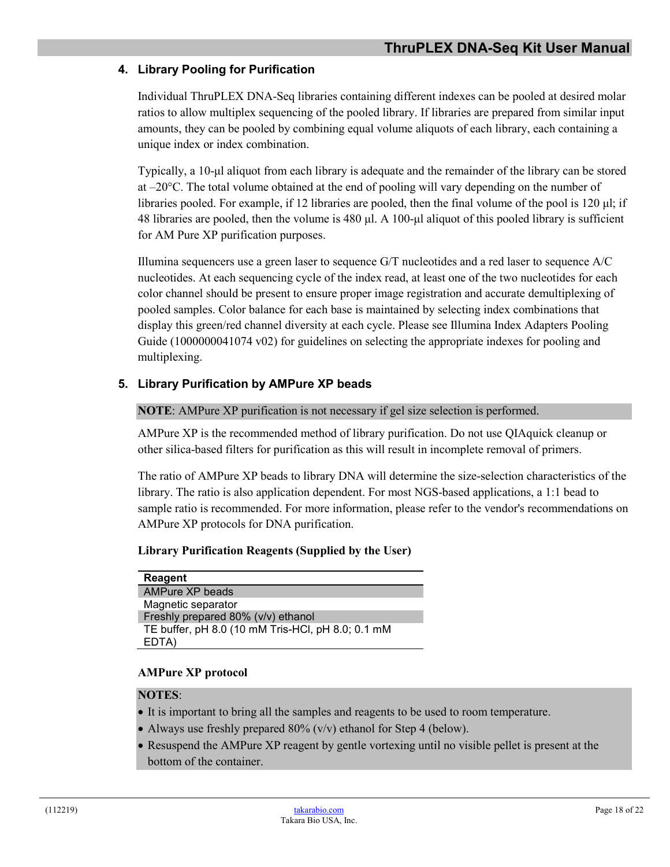### **4. Library Pooling for Purification**

Individual ThruPLEX DNA-Seq libraries containing different indexes can be pooled at desired molar ratios to allow multiplex sequencing of the pooled library. If libraries are prepared from similar input amounts, they can be pooled by combining equal volume aliquots of each library, each containing a unique index or index combination.

Typically, a 10-μl aliquot from each library is adequate and the remainder of the library can be stored at  $-20^{\circ}$ C. The total volume obtained at the end of pooling will vary depending on the number of libraries pooled. For example, if 12 libraries are pooled, then the final volume of the pool is 120 μl; if 48 libraries are pooled, then the volume is 480 μl. A 100-μl aliquot of this pooled library is sufficient for AM Pure XP purification purposes.

Illumina sequencers use a green laser to sequence G/T nucleotides and a red laser to sequence A/C nucleotides. At each sequencing cycle of the index read, at least one of the two nucleotides for each color channel should be present to ensure proper image registration and accurate demultiplexing of pooled samples. Color balance for each base is maintained by selecting index combinations that display this green/red channel diversity at each cycle. Please see Illumina [Index Adapters Pooling](https://support.illumina.com/content/dam/illumina-support/documents/documentation/chemistry_documentation/experiment-design/index-adapters-pooling-guide-1000000041074-02.pdf)  [Guide \(1000000041074 v02\)](https://support.illumina.com/content/dam/illumina-support/documents/documentation/chemistry_documentation/experiment-design/index-adapters-pooling-guide-1000000041074-02.pdf) for guidelines on selecting the appropriate indexes for pooling and multiplexing.

#### **5. Library Purification by AMPure XP beads**

**NOTE**: AMPure XP purification is not necessary if gel size selection is performed.

AMPure XP is the recommended method of library purification. Do not use QIAquick cleanup or other silica-based filters for purification as this will result in incomplete removal of primers.

The ratio of AMPure XP beads to library DNA will determine the size-selection characteristics of the library. The ratio is also application dependent. For most NGS-based applications, a 1:1 bead to sample ratio is recommended. For more information, please refer to the vendor's recommendations on AMPure XP protocols for DNA purification.

#### **Library Purification Reagents (Supplied by the User)**

**Reagent** AMPure XP beads Magnetic separator Freshly prepared 80% (v/v) ethanol TE buffer, pH 8.0 (10 mM Tris-HCl, pH 8.0; 0.1 mM EDTA)

#### **AMPure XP protocol**

#### **NOTES**:

- It is important to bring all the samples and reagents to be used to room temperature.
- Always use freshly prepared  $80\%$  (v/v) ethanol for Step 4 (below).
- Resuspend the AMPure XP reagent by gentle vortexing until no visible pellet is present at the bottom of the container.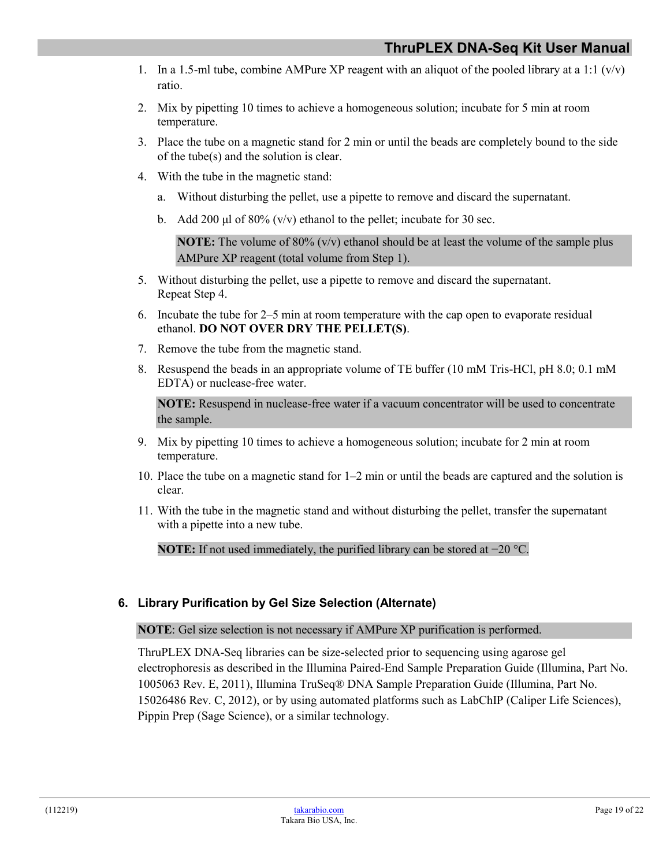- 1. In a 1.5-ml tube, combine AMPure XP reagent with an aliquot of the pooled library at a 1:1 ( $v/v$ ) ratio.
- 2. Mix by pipetting 10 times to achieve a homogeneous solution; incubate for 5 min at room temperature.
- 3. Place the tube on a magnetic stand for 2 min or until the beads are completely bound to the side of the tube(s) and the solution is clear.
- 4. With the tube in the magnetic stand:
	- a. Without disturbing the pellet, use a pipette to remove and discard the supernatant.
	- b. Add 200 μl of 80% (v/v) ethanol to the pellet; incubate for 30 sec.

**NOTE:** The volume of 80% ( $v/v$ ) ethanol should be at least the volume of the sample plus AMPure XP reagent (total volume from Step 1).

- 5. Without disturbing the pellet, use a pipette to remove and discard the supernatant. Repeat Step 4.
- 6. Incubate the tube for 2–5 min at room temperature with the cap open to evaporate residual ethanol. **DO NOT OVER DRY THE PELLET(S)**.
- 7. Remove the tube from the magnetic stand.
- 8. Resuspend the beads in an appropriate volume of TE buffer (10 mM Tris-HCl, pH 8.0; 0.1 mM EDTA) or nuclease-free water.

**NOTE:** Resuspend in nuclease-free water if a vacuum concentrator will be used to concentrate the sample.

- 9. Mix by pipetting 10 times to achieve a homogeneous solution; incubate for 2 min at room temperature.
- 10. Place the tube on a magnetic stand for 1–2 min or until the beads are captured and the solution is clear.
- 11. With the tube in the magnetic stand and without disturbing the pellet, transfer the supernatant with a pipette into a new tube.

**NOTE:** If not used immediately, the purified library can be stored at −20 °C.

#### **6. Library Purification by Gel Size Selection (Alternate)**

#### **NOTE**: Gel size selection is not necessary if AMPure XP purification is performed.

ThruPLEX DNA-Seq libraries can be size-selected prior to sequencing using agarose gel electrophoresis as described in the Illumina Paired-End Sample Preparation Guide (Illumina, Part No. 1005063 Rev. E, 2011), Illumina TruSeq® DNA Sample Preparation Guide (Illumina, Part No. 15026486 Rev. C, 2012), or by using automated platforms such as LabChIP (Caliper Life Sciences), Pippin Prep (Sage Science), or a similar technology.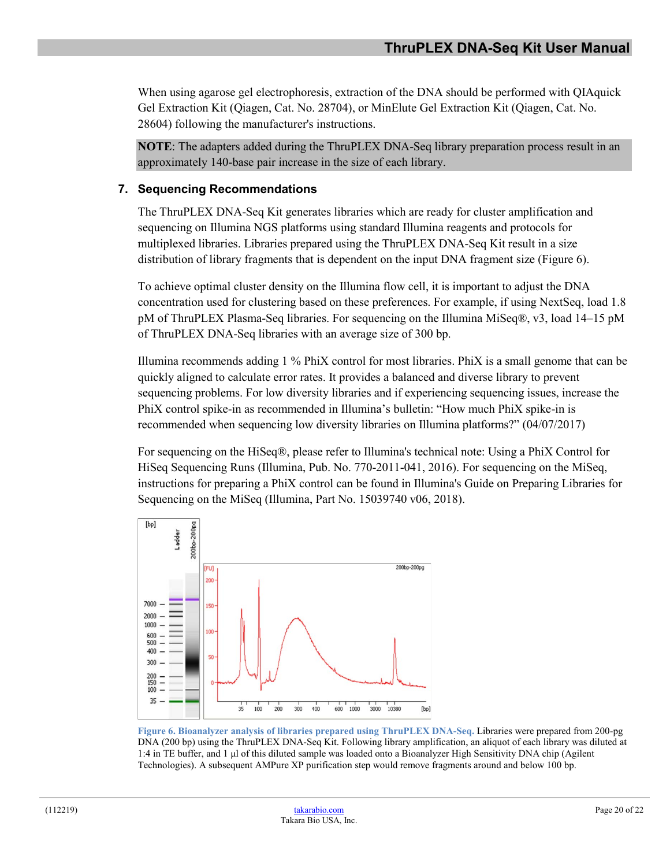When using agarose gel electrophoresis, extraction of the DNA should be performed with QIAquick Gel Extraction Kit (Qiagen, Cat. No. 28704), or MinElute Gel Extraction Kit (Qiagen, Cat. No. 28604) following the manufacturer's instructions.

**NOTE**: The adapters added during the ThruPLEX DNA-Seq library preparation process result in an approximately 140-base pair increase in the size of each library.

#### **7. Sequencing Recommendations**

The ThruPLEX DNA-Seq Kit generates libraries which are ready for cluster amplification and sequencing on Illumina NGS platforms using standard Illumina reagents and protocols for multiplexed libraries. Libraries prepared using the ThruPLEX DNA-Seq Kit result in a size distribution of library fragments that is dependent on the input DNA fragment size (Figure 6).

To achieve optimal cluster density on the Illumina flow cell, it is important to adjust the DNA concentration used for clustering based on these preferences. For example, if using NextSeq, load 1.8 pM of ThruPLEX Plasma-Seq libraries. For sequencing on the Illumina MiSeq®, v3, load 14–15 pM of ThruPLEX DNA-Seq libraries with an average size of 300 bp.

Illumina recommends adding 1 % PhiX control for most libraries. PhiX is a small genome that can be quickly aligned to calculate error rates. It provides a balanced and diverse library to prevent sequencing problems. For low diversity libraries and if experiencing sequencing issues, increase the PhiX control spike-in as recommended in Illumina's bulletin: "How much PhiX spike-in is recommended when sequencing low diversity libraries on Illumina platforms?" (04/07/2017)

For sequencing on the HiSeq®, please refer to Illumina's technical note: Using a PhiX Control for HiSeq Sequencing Runs (Illumina, Pub. No. 770-2011-041, 2016). For sequencing on the MiSeq, instructions for preparing a PhiX control can be found in Illumina's Guide on Preparing Libraries for Sequencing on the MiSeq (Illumina, Part No. 15039740 v06, 2018).



<span id="page-19-0"></span>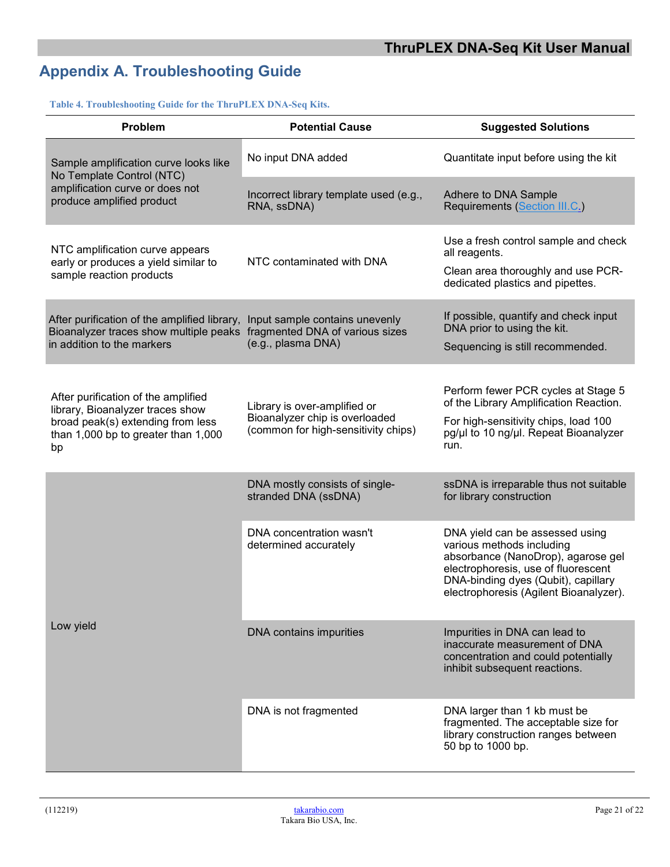# <span id="page-20-0"></span>**Appendix A. Troubleshooting Guide**

#### <span id="page-20-1"></span>**Table 4. Troubleshooting Guide for the ThruPLEX DNA-Seq Kits.**

| Problem                                                                                                                                                   | <b>Potential Cause</b>                                                                                | <b>Suggested Solutions</b>                                                                                                                                                                                                 |
|-----------------------------------------------------------------------------------------------------------------------------------------------------------|-------------------------------------------------------------------------------------------------------|----------------------------------------------------------------------------------------------------------------------------------------------------------------------------------------------------------------------------|
| Sample amplification curve looks like<br>No Template Control (NTC)                                                                                        | No input DNA added                                                                                    | Quantitate input before using the kit                                                                                                                                                                                      |
| amplification curve or does not<br>produce amplified product                                                                                              | Incorrect library template used (e.g.,<br>RNA, ssDNA)                                                 | Adhere to DNA Sample<br>Requirements (Section III.C.)                                                                                                                                                                      |
| NTC amplification curve appears<br>early or produces a yield similar to<br>sample reaction products                                                       | NTC contaminated with DNA                                                                             | Use a fresh control sample and check<br>all reagents.<br>Clean area thoroughly and use PCR-<br>dedicated plastics and pipettes.                                                                                            |
| After purification of the amplified library,<br>Bioanalyzer traces show multiple peaks<br>in addition to the markers                                      | Input sample contains unevenly<br>fragmented DNA of various sizes<br>(e.g., plasma DNA)               | If possible, quantify and check input<br>DNA prior to using the kit.<br>Sequencing is still recommended.                                                                                                                   |
| After purification of the amplified<br>library, Bioanalyzer traces show<br>broad peak(s) extending from less<br>than 1,000 bp to greater than 1,000<br>bp | Library is over-amplified or<br>Bioanalyzer chip is overloaded<br>(common for high-sensitivity chips) | Perform fewer PCR cycles at Stage 5<br>of the Library Amplification Reaction.<br>For high-sensitivity chips, load 100<br>pg/µl to 10 ng/µl. Repeat Bioanalyzer<br>run.                                                     |
|                                                                                                                                                           | DNA mostly consists of single-<br>stranded DNA (ssDNA)                                                | ssDNA is irreparable thus not suitable<br>for library construction                                                                                                                                                         |
| Low yield                                                                                                                                                 | DNA concentration wasn't<br>determined accurately                                                     | DNA yield can be assessed using<br>various methods including<br>absorbance (NanoDrop), agarose gel<br>electrophoresis, use of fluorescent<br>DNA-binding dyes (Qubit), capillary<br>electrophoresis (Agilent Bioanalyzer). |
|                                                                                                                                                           | DNA contains impurities                                                                               | Impurities in DNA can lead to<br>inaccurate measurement of DNA<br>concentration and could potentially<br>inhibit subsequent reactions.                                                                                     |
|                                                                                                                                                           | DNA is not fragmented                                                                                 | DNA larger than 1 kb must be<br>fragmented. The acceptable size for<br>library construction ranges between<br>50 bp to 1000 bp.                                                                                            |